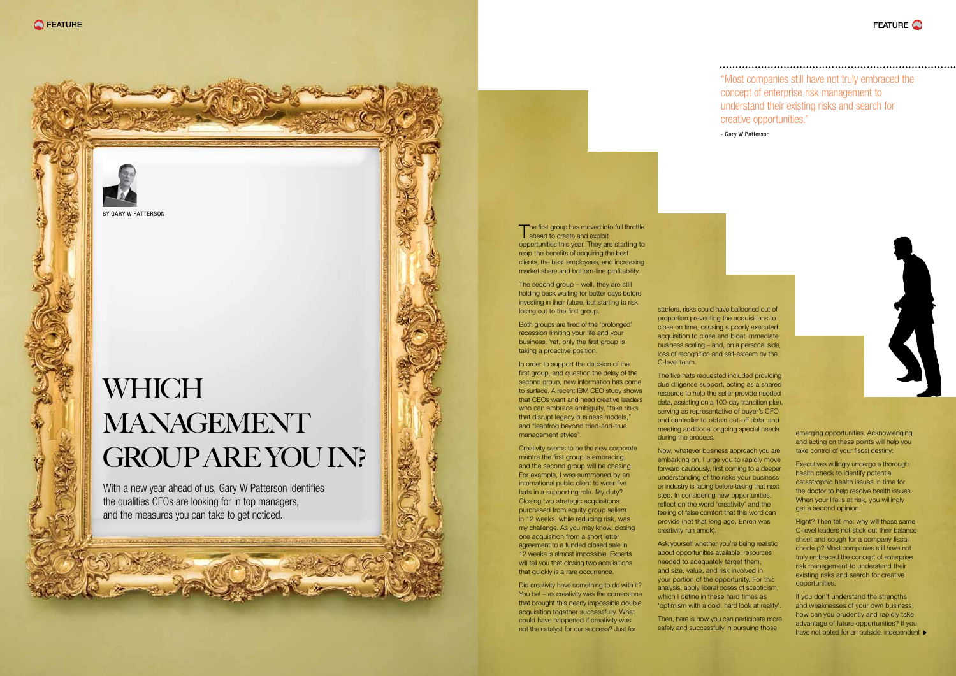

The first group has moved into full throttle **ahead to create and exploit** opportunities this year. They are starting to reap the benefits of acquiring the best clients, the best employees, and increasing market share and bottom-line profitability.

The second group – well, they are still holding back waiting for better days before investing in their future, but starting to risk losing out to the first group.

Both groups are tired of the 'prolonged' recession limiting your life and your business. Yet, only the first group is taking a proactive position.

In order to support the decision of the first group, and question the delay of the second group, new information has come to surface. A recent IBM CEO study shows that CEOs want and need creative leaders who can embrace ambiguity, "take risks that disrupt legacy business models," and "leapfrog beyond tried-and-true management styles".

## **WHICH MANAGEMENT** Group Are You In?

Creativity seems to be the new corporate mantra the first group is embracing, and the second group will be chasing. For example, I was summoned by an international public client to wear five hats in a supporting role. My duty? Closing two strategic acquisitions purchased from equity group sellers in 12 weeks, while reducing risk, was my challenge. As you may know, closing one acquisition from a short letter agreement to a funded closed sale in 12 weeks is almost impossible. Experts will tell you that closing two acquisitions that quickly is a rare occurrence.

Did creativity have something to do with it? You bet – as creativity was the cornerstone that brought this nearly impossible double acquisition together successfully. What could have happened if creativity was not the catalyst for our success? Just for

With a new year ahead of us, Gary W Patterson identifies the qualities CEOs are looking for in top managers, and the measures you can take to get noticed.

> If you don't understand the strengths and weaknesses of your own business, how can you prudently and rapidly take advantage of future opportunities? If you have not opted for an outside, independent  $\blacktriangleright$

"Most companies still have not truly embraced the concept of enterprise risk management to understand their existing risks and search for creative opportunities."

- Gary W Patterson



starters, risks could have ballooned out of proportion preventing the acquisitions to close on time, causing a poorly executed acquisition to close and bloat immediate business scaling – and, on a personal side, loss of recognition and self-esteem by the C-level team.

The five hats requested included providing due diligence support, acting as a shared resource to help the seller provide needed data, assisting on a 100-day transition plan, serving as representative of buyer's CFO and controller to obtain cut-off data, and meeting additional ongoing special needs during the process.

Now, whatever business approach you are embarking on, I urge you to rapidly move forward cautiously, first coming to a deeper understanding of the risks your business or industry is facing before taking that next step. In considering new opportunities, reflect on the word 'creativity' and the feeling of false comfort that this word can provide (not that long ago, Enron was creativity run amok).

Ask yourself whether you're being realistic about opportunities available, resources needed to adequately target them, and size, value, and risk involved in your portion of the opportunity. For this analysis, apply liberal doses of scepticism, which I define in these hard times as 'optimism with a cold, hard look at reality'.

Then, here is how you can participate more safely and successfully in pursuing those

emerging opportunities. Acknowledging and acting on these points will help you take control of your fiscal destiny:

Executives willingly undergo a thorough health check to identify potential catastrophic health issues in time for the doctor to help resolve health issues. When your life is at risk, you willingly get a second opinion.

Right? Then tell me: why will those same C-level leaders not stick out their balance sheet and cough for a company fiscal checkup? Most companies still have not truly embraced the concept of enterprise risk management to understand their existing risks and search for creative opportunities.



BY GARY W PATTERSON